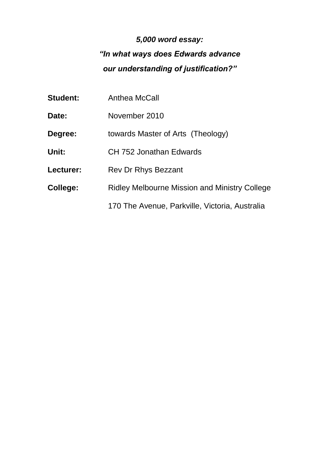# *5,000 word essay: "In what ways does Edwards advance our understanding of justification?"*

| <b>Student:</b> | Anthea McCall                                        |
|-----------------|------------------------------------------------------|
| Date:           | November 2010                                        |
| Degree:         | towards Master of Arts (Theology)                    |
| Unit:           | CH 752 Jonathan Edwards                              |
| Lecturer:       | Rev Dr Rhys Bezzant                                  |
| College:        | <b>Ridley Melbourne Mission and Ministry College</b> |
|                 | 170 The Avenue, Parkville, Victoria, Australia       |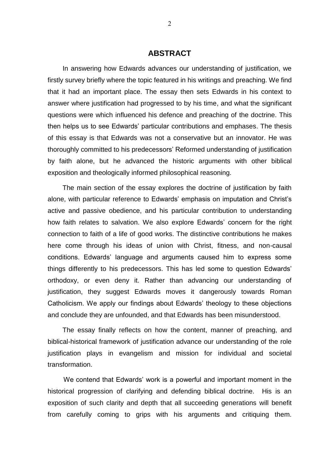# **ABSTRACT**

 In answering how Edwards advances our understanding of justification, we firstly survey briefly where the topic featured in his writings and preaching. We find that it had an important place. The essay then sets Edwards in his context to answer where justification had progressed to by his time, and what the significant questions were which influenced his defence and preaching of the doctrine. This then helps us to see Edwards' particular contributions and emphases. The thesis of this essay is that Edwards was not a conservative but an innovator. He was thoroughly committed to his predecessors' Reformed understanding of justification by faith alone, but he advanced the historic arguments with other biblical exposition and theologically informed philosophical reasoning.

 The main section of the essay explores the doctrine of justification by faith alone, with particular reference to Edwards' emphasis on imputation and Christ's active and passive obedience, and his particular contribution to understanding how faith relates to salvation. We also explore Edwards' concern for the right connection to faith of a life of good works. The distinctive contributions he makes here come through his ideas of union with Christ, fitness, and non-causal conditions. Edwards' language and arguments caused him to express some things differently to his predecessors. This has led some to question Edwards' orthodoxy, or even deny it. Rather than advancing our understanding of justification, they suggest Edwards moves it dangerously towards Roman Catholicism. We apply our findings about Edwards' theology to these objections and conclude they are unfounded, and that Edwards has been misunderstood.

 The essay finally reflects on how the content, manner of preaching, and biblical-historical framework of justification advance our understanding of the role justification plays in evangelism and mission for individual and societal transformation.

We contend that Edwards' work is a powerful and important moment in the historical progression of clarifying and defending biblical doctrine. His is an exposition of such clarity and depth that all succeeding generations will benefit from carefully coming to grips with his arguments and critiquing them.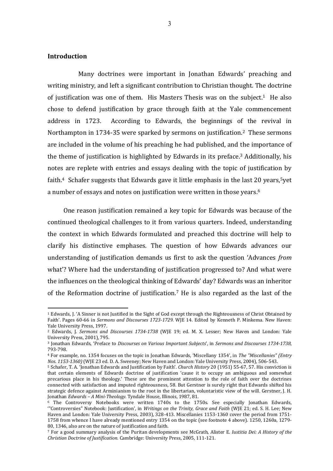#### **Introduction**

<u>.</u>

 Many doctrines were important in Jonathan Edwards' preaching and writing ministry, and left a significant contribution to Christian thought. The doctrine of justification was one of them. His Masters Thesis was on the subject.<sup>1</sup> He also chose to defend justification by grace through faith at the Yale commencement address in 1723. According to Edwards, the beginnings of the revival in Northampton in 1734-35 were sparked by sermons on justification. <sup>2</sup> These sermons are included in the volume of his preaching he had published, and the importance of the theme of justification is highlighted by Edwards in its preface.<sup>3</sup> Additionally, his notes are replete with entries and essays dealing with the topic of justification by faith.4 Schafer suggests that Edwards gave it little emphasis in the last 20 years, <sup>5</sup>yet a number of essays and notes on justification were written in those years. 6

One reason justification remained a key topic for Edwards was because of the continued theological challenges to it from various quarters. Indeed, understanding the context in which Edwards formulated and preached this doctrine will help to clarify his distinctive emphases. The question of how Edwards advances our understanding of justification demands us first to ask the question 'Advances *from* what'? Where had the understanding of justification progressed to? And what were the influences on the theological thinking of Edwards' day? Edwards was an inheritor of the Reformation doctrine of justification.<sup>7</sup> He is also regarded as the last of the

<sup>1</sup> Edwards, J. 'A Sinner is not Justified in the Sight of God except through the Righteousness of Christ Obtained by Faith'. Pages 60-66 in *Sermons and Discourses 1723-1729.* WJE 14. Edited by Kenneth P. Minkema. New Haven: Yale University Press, 1997.

<sup>2</sup> Edwards, J. *Sermons and Discourses 1734-1738* (WJE 19; ed. M. X. Lesser; New Haven and London: Yale University Press, 2001), 795.

<sup>3</sup> Jonathan Edwards, 'Preface to *Discourses on Various Important Subjects*', in *Sermons and Discourses 1734-1738*, 793-798.

<sup>4</sup> For example, no. 1354 focuses on the topic in Jonathan Edwards, 'Miscellany 1354', in *The "Miscellanies" (Entry Nos. 1153-1360)* (WJE 23 ed. D. A. Sweeney; New Haven and London: Yale University Press, 2004), 506-543.

<sup>5</sup> Schafer, T. A. 'Jonathan Edwards and Justification by Faith'. *Church History* 20 (1951) 55-67, 57. His conviction is that certain elements of Edwards doctrine of justification 'cause it to occupy an ambiguous and somewhat precarious place in his theology.' These are the prominent attention to the role of faith over the doctrines connected with satisfaction and imputed righteousness, 58. But Gerstner is surely right that Edwards shifted his strategic defence against Arminianism to the root in the libertarian, voluntaristic view of the will. Gerstner, J. H. Jonathan *Edwards – A Mini-Theology.* Tyndale House, Illinois, 1987, 81.

<sup>6</sup> The Controversy Notebooks were written 1740s to the 1750s. See especially Jonathan Edwards, '"Controversies" Notebook: Justification', in *Writings on the Trinity, Grace and Faith* (WJE 21; ed. S. H. Lee; New Haven and London: Yale University Press, 2003), 328-413. Miscellanies 1153-1360 cover the period from 1751- 1758 from whence I have already mentioned entry 1354 on the topic (see footnote 4 above). 1250, 1260a, 1279- 80, 1346, also are on the nature of justification and faith.

<sup>7</sup> For a good summary analysis of the Puritan developments see McGrath, Alister E. *Iustitia Dei: A History of the Christian Doctrine of Justification.* Cambridge: University Press, 2005, 111-121.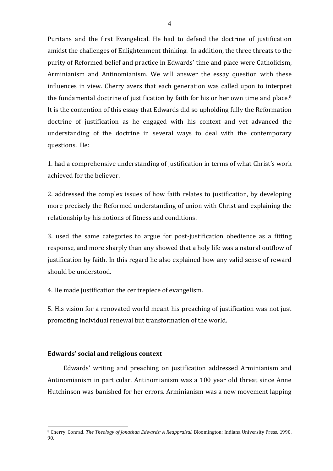Puritans and the first Evangelical. He had to defend the doctrine of justification amidst the challenges of Enlightenment thinking. In addition, the three threats to the purity of Reformed belief and practice in Edwards' time and place were Catholicism, Arminianism and Antinomianism. We will answer the essay question with these influences in view. Cherry avers that each generation was called upon to interpret the fundamental doctrine of justification by faith for his or her own time and place.<sup>8</sup> It is the contention of this essay that Edwards did so upholding fully the Reformation doctrine of justification as he engaged with his context and yet advanced the understanding of the doctrine in several ways to deal with the contemporary questions. He:

1. had a comprehensive understanding of justification in terms of what Christ's work achieved for the believer.

2. addressed the complex issues of how faith relates to justification, by developing more precisely the Reformed understanding of union with Christ and explaining the relationship by his notions of fitness and conditions.

3. used the same categories to argue for post-justification obedience as a fitting response, and more sharply than any showed that a holy life was a natural outflow of justification by faith. In this regard he also explained how any valid sense of reward should be understood.

4. He made justification the centrepiece of evangelism.

5. His vision for a renovated world meant his preaching of justification was not just promoting individual renewal but transformation of the world.

## **Edwards' social and religious context**

1

Edwards' writing and preaching on justification addressed Arminianism and Antinomianism in particular. Antinomianism was a 100 year old threat since Anne Hutchinson was banished for her errors. Arminianism was a new movement lapping

<sup>8</sup> Cherry, Conrad. *The Theology of Jonathan Edwards: A Reappraisal.* Bloomington: Indiana University Press, 1990, 90.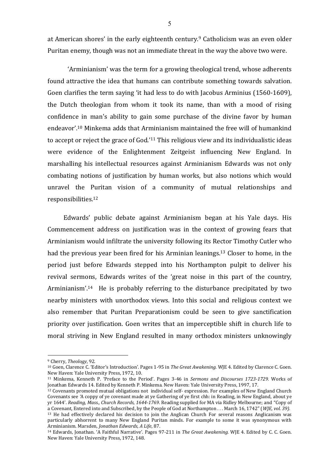at American shores' in the early eighteenth century.<sup>9</sup> Catholicism was an even older Puritan enemy, though was not an immediate threat in the way the above two were.

'Arminianism' was the term for a growing theological trend, whose adherents found attractive the idea that humans can contribute something towards salvation. Goen clarifies the term saying 'it had less to do with Jacobus Arminius (1560-1609), the Dutch theologian from whom it took its name, than with a mood of rising confidence in man's ability to gain some purchase of the divine favor by human endeavor'.<sup>10</sup> Minkema adds that Arminianism maintained the free will of humankind to accept or reject the grace of God.'<sup>11</sup> This religious view and its individualistic ideas were evidence of the Enlightenment Zeitgeist influencing New England. In marshalling his intellectual resources against Arminianism Edwards was not only combating notions of justification by human works, but also notions which would unravel the Puritan vision of a community of mutual relationships and responsibilities.<sup>12</sup>

Edwards' public debate against Arminianism began at his Yale days. His Commencement address on justification was in the context of growing fears that Arminianism would infiltrate the university following its Rector Timothy Cutler who had the previous year been fired for his Arminian leanings. <sup>13</sup> Closer to home, in the period just before Edwards stepped into his Northampton pulpit to deliver his revival sermons, Edwards writes of the 'great noise in this part of the country, Arminianism'.<sup>14</sup> He is probably referring to the disturbance precipitated by two nearby ministers with unorthodox views. Into this social and religious context we also remember that Puritan Preparationism could be seen to give sanctification priority over justification. Goen writes that an imperceptible shift in church life to moral striving in New England resulted in many orthodox ministers unknowingly

<u>.</u>

<sup>9</sup> Cherry, *Theology*, 92.

<sup>10</sup> Goen, Clarence C. 'Editor's Introduction'. Pages 1-95 in *The Great Awakening.* WJE 4. Edited by Clarence C. Goen. New Haven: Yale University Press, 1972, 10.

<sup>11</sup> Minkema, Kenneth P. 'Preface to the Period'. Pages 3-46 in *Sermons and Discourses 1723-1729.* Works of Jonathan Edwards 14. Edited by Kenneth P. Minkema. New Haven: Yale University Press, 1997, 17.

<sup>12</sup> Covenants promoted mutual obligations not individual self- expression. For examples of New England Church Covenants see *'*A coppy of ye covenant made at ye Gathering of ye first chh: in Reading, in New England, about ye yr 1644'. *Reading, Mass., Church Records, 1644-1769*. Reading supplied for MA via Ridley Melbourne; and "Copy of a Covenant, Entered into and Subscribed, by the People of God at Northampton . . . March 16, 1742" (*WJE, vol. 39).* <sup>13</sup> He had effectively declared his decision to join the Anglican Church For several reasons Anglicanism was particularly abhorrent to many New England Puritan minds. For example to some it was synonymous with Arminianism. Marsden, *Jonathan Edwards, A Life*, 87.

<sup>14</sup> Edwards, Jonathan. 'A Faithful Narrative'. Pages 97-211 in *The Great Awakening.* WJE 4. Edited by C. C. Goen. New Haven: Yale University Press, 1972, 148.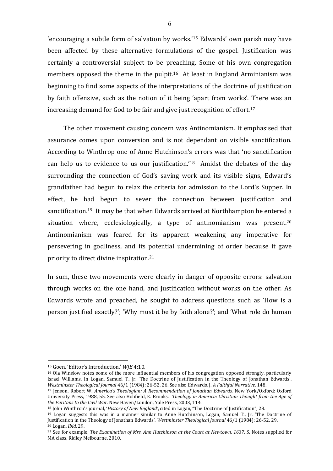'encouraging a subtle form of salvation by works.'<sup>15</sup> Edwards' own parish may have been affected by these alternative formulations of the gospel. Justification was certainly a controversial subject to be preaching. Some of his own congregation members opposed the theme in the pulpit.<sup>16</sup> At least in England Arminianism was beginning to find some aspects of the interpretations of the doctrine of justification by faith offensive, such as the notion of it being 'apart from works'. There was an increasing demand for God to be fair and give just recognition of effort.<sup>17</sup>

The other movement causing concern was Antinomianism. It emphasised that assurance comes upon conversion and is not dependant on visible sanctification. According to Winthrop one of Anne Hutchinson's errors was that 'no sanctification can help us to evidence to us our justification.' <sup>18</sup> Amidst the debates of the day surrounding the connection of God's saving work and its visible signs, Edward's grandfather had begun to relax the criteria for admission to the Lord's Supper. In effect, he had begun to sever the connection between justification and sanctification.<sup>19</sup> It may be that when Edwards arrived at Northhampton he entered a situation where, ecclesiologically, a type of antinomianism was present.<sup>20</sup> Antinomianism was feared for its apparent weakening any imperative for persevering in godliness, and its potential undermining of order because it gave priority to direct divine inspiration.<sup>21</sup>

In sum, these two movements were clearly in danger of opposite errors: salvation through works on the one hand, and justification without works on the other. As Edwards wrote and preached, he sought to address questions such as 'How is a person justified exactly?'; 'Why must it be by faith alone?'; and 'What role do human

<u>.</u>

<sup>15</sup> Goen, 'Editor's Introduction,' *WJE* 4:10.

<sup>16</sup> Ola Winslow notes some of the more influential members of his congregation opposed strongly, particularly Israel Williams. In Logan, Samuel T., Jr. 'The Doctrine of Justification in the Theology of Jonathan Edwards'. *Westminster Theological Journal* 46/1 (1984): 26-52, 26. See also Edwards, J. *A Faithful Narrative*, 148.

<sup>17</sup> Jenson, Robert W. *America's Theologian: A Recommendation of Jonathan Edwards.* New York/Oxford: Oxford University Press, 1988, 55. See also Holifield, E. Brooks. *Theology in America: Christian Thought from the Age of the Puritans to the Civil War.* New Haven/London, Yale Press, 2003, 114.

<sup>18</sup> John Winthrop's journal, '*History of New England'*, cited in Logan, "The Doctrine of Justification", 28.

<sup>19</sup> Logan suggests this was in a manner similar to Anne Hutchinson, Logan, Samuel T., Jr. 'The Doctrine of Justification in the Theology of Jonathan Edwards'. *Westminster Theological Journal* 46/1 (1984): 26-52*,* 29. <sup>20</sup> Logan, *Ibid,* 29.

<sup>&</sup>lt;sup>21</sup> See for example, *The Examination of Mrs. Ann Hutchinson at the Court at Newtown, 1637, 5. Notes supplied for* MA class, Ridley Melbourne, 2010.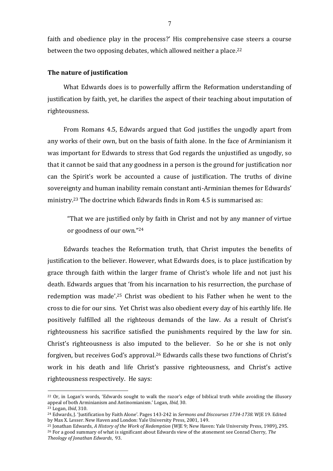faith and obedience play in the process?' His comprehensive case steers a course between the two opposing debates, which allowed neither a place.<sup>22</sup>

# **The nature of justification**

What Edwards does is to powerfully affirm the Reformation understanding of justification by faith, yet, he clarifies the aspect of their teaching about imputation of righteousness.

From Romans 4.5, Edwards argued that God justifies the ungodly apart from any works of their own, but on the basis of faith alone. In the face of Arminianism it was important for Edwards to stress that God regards the unjustified as ungodly, so that it cannot be said that any goodness in a person is the ground for justification nor can the Spirit's work be accounted a cause of justification. The truths of divine sovereignty and human inability remain constant anti-Arminian themes for Edwards' ministry.<sup>23</sup> The doctrine which Edwards finds in Rom 4.5 is summarised as:

"That we are justified only by faith in Christ and not by any manner of virtue or goodness of our own."<sup>24</sup>

Edwards teaches the Reformation truth, that Christ imputes the benefits of justification to the believer. However, what Edwards does, is to place justification by grace through faith within the larger frame of Christ's whole life and not just his death. Edwards argues that 'from his incarnation to his resurrection, the purchase of redemption was made'.<sup>25</sup> Christ was obedient to his Father when he went to the cross to die for our sins. Yet Christ was also obedient every day of his earthly life. He positively fulfilled all the righteous demands of the law. As a result of Christ's righteousness his sacrifice satisfied the punishments required by the law for sin. Christ's righteousness is also imputed to the believer. So he or she is not only forgiven, but receives God's approval.<sup>26</sup> Edwards calls these two functions of Christ's work in his death and life Christ's passive righteousness, and Christ's active righteousness respectively. He says:

<sup>&</sup>lt;sup>22</sup> Or, in Logan's words, 'Edwards sought to walk the razor's edge of biblical truth while avoiding the illusory appeal of both Arminianism and Antinomianism.' Logan, *Ibid*, 30.

<sup>23</sup> Logan, *Ibid*, 310.

<sup>24</sup> Edwards, J. 'Justification by Faith Alone'. Pages 143-242 in *Sermons and Discourses 1734-1738.* WJE 19. Edited by Max X. Lesser. New Haven and London: Yale University Press, 2001, 149.

<sup>25</sup> Jonathan Edwards, *A History of the Work of Redemption* (WJE 9; New Haven: Yale University Press, 1989), 295. <sup>26</sup> For a good summary of what is significant about Edwards view of the atonement see Conrad Cherry, *The Theology of Jonathan Edwards*, 93.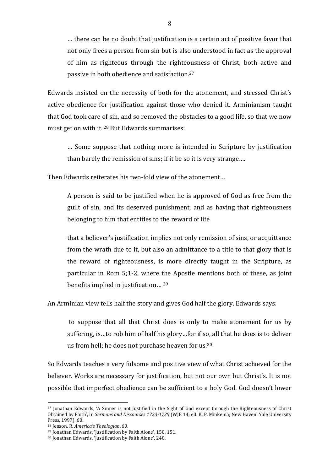… there can be no doubt that justification is a certain act of positive favor that not only frees a person from sin but is also understood in fact as the approval of him as righteous through the righteousness of Christ, both active and passive in both obedience and satisfaction.<sup>27</sup>

Edwards insisted on the necessity of both for the atonement, and stressed Christ's active obedience for justification against those who denied it. Arminianism taught that God took care of sin, and so removed the obstacles to a good life, so that we now must get on with it. <sup>28</sup> But Edwards summarises:

… Some suppose that nothing more is intended in Scripture by justification than barely the remission of sins; if it be so it is very strange….

Then Edwards reiterates his two-fold view of the atonement…

A person is said to be justified when he is approved of God as free from the guilt of sin, and its deserved punishment, and as having that righteousness belonging to him that entitles to the reward of life

that a believer's justification implies not only remission of sins, or acquittance from the wrath due to it, but also an admittance to a title to that glory that is the reward of righteousness, is more directly taught in the Scripture, as particular in Rom 5;1-2, where the Apostle mentions both of these, as joint benefits implied in justification… <sup>29</sup>

An Arminian view tells half the story and gives God half the glory. Edwards says:

to suppose that all that Christ does is only to make atonement for us by suffering, is…to rob him of half his glory…for if so, all that he does is to deliver us from hell; he does not purchase heaven for us.<sup>30</sup>

So Edwards teaches a very fulsome and positive view of what Christ achieved for the believer. Works are necessary for justification, but not our own but Christ's. It is not possible that imperfect obedience can be sufficient to a holy God. God doesn't lower

<sup>27</sup> Jonathan Edwards, 'A Sinner is not Justified in the Sight of God except through the Righteousness of Christ Obtained by Faith', in *Sermons and Discourses 1723-1729* (WJE 14; ed. K. P. Minkema; New Haven: Yale University Press, 1997), 60.

<sup>28</sup> Jenson, R. *America's Theologian*, 60.

<sup>29</sup> Jonathan Edwards, 'Justification by Faith Alone', 150, 151.

<sup>30</sup> Jonathan Edwards, 'Justification by Faith Alone', 240.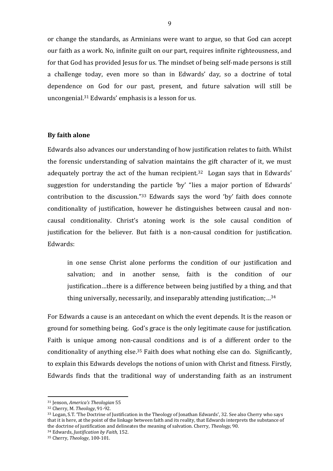or change the standards, as Arminians were want to argue, so that God can accept our faith as a work. No, infinite guilt on our part, requires infinite righteousness, and for that God has provided Jesus for us. The mindset of being self-made persons is still a challenge today, even more so than in Edwards' day, so a doctrine of total dependence on God for our past, present, and future salvation will still be uncongenial.<sup>31</sup> Edwards' emphasis is a lesson for us.

#### **By faith alone**

Edwards also advances our understanding of how justification relates to faith. Whilst the forensic understanding of salvation maintains the gift character of it, we must adequately portray the act of the human recipient.<sup>32</sup> Logan says that in Edwards' suggestion for understanding the particle 'by' "lies a major portion of Edwards' contribution to the discussion."<sup>33</sup> Edwards says the word 'by' faith does connote conditionality of justification, however he distinguishes between causal and noncausal conditionality. Christ's atoning work is the sole causal condition of justification for the believer. But faith is a non-causal condition for justification. Edwards:

in one sense Christ alone performs the condition of our justification and salvation; and in another sense, faith is the condition of our justification…there is a difference between being justified by a thing, and that thing universally, necessarily, and inseparably attending justification;…<sup>34</sup>

For Edwards a cause is an antecedant on which the event depends. It is the reason or ground for something being. God's grace is the only legitimate cause for justification. Faith is unique among non-causal conditions and is of a different order to the conditionality of anything else.<sup>35</sup> Faith does what nothing else can do. Significantly, to explain this Edwards develops the notions of union with Christ and fitness. Firstly, Edwards finds that the traditional way of understanding faith as an instrument

<sup>31</sup> Jenson, *America's Theologian* 55

<sup>32</sup> Cherry, M. *Theology*, 91-92.

<sup>33</sup> Logan, S.T. 'The Doctrine of Justification in the Theology of Jonathan Edwards', 32. See also Cherry who says that it is here, at the point of the linkage between faith and its reality, that Edwards interprets the substance of the doctrine of justification and delineates the meaning of salvation. Cherry, *Theology,* 90.

<sup>34</sup> Edwards, *Justification by Faith,* 152.

<sup>35</sup> Cherry, *Theology*, 100-101.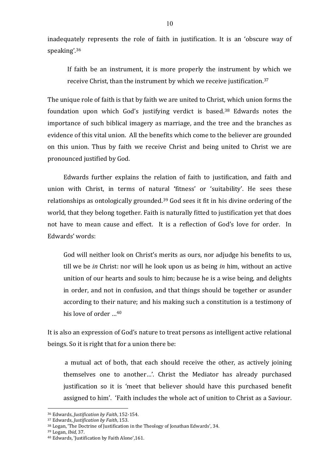inadequately represents the role of faith in justification. It is an 'obscure way of speaking'. 36

If faith be an instrument, it is more properly the instrument by which we receive Christ, than the instrument by which we receive justification.<sup>37</sup>

The unique role of faith is that by faith we are united to Christ, which union forms the foundation upon which God's justifying verdict is based. <sup>38</sup> Edwards notes the importance of such biblical imagery as marriage, and the tree and the branches as evidence of this vital union. All the benefits which come to the believer are grounded on this union. Thus by faith we receive Christ and being united to Christ we are pronounced justified by God.

Edwards further explains the relation of faith to justification, and faith and union with Christ, in terms of natural **'**fitness' or 'suitability'. He sees these relationships as ontologically grounded. <sup>39</sup> God sees it fit in his divine ordering of the world, that they belong together. Faith is naturally fitted to justification yet that does not have to mean cause and effect. It is a reflection of God's love for order. In Edwards' words:

God will neither look on Christ's merits as ours, nor adjudge his benefits to us, till we be *in* Christ: nor will he look upon us as being *in* him, without an active unition of our hearts and souls to him; because he is a wise being, and delights in order, and not in confusion, and that things should be together or asunder according to their nature; and his making such a constitution is a testimony of his love of order …<sup>40</sup>

It is also an expression of God's nature to treat persons as intelligent active relational beings. So it is right that for a union there be:

a mutual act of both, that each should receive the other, as actively joining themselves one to another…'. Christ the Mediator has already purchased justification so it is 'meet that believer should have this purchased benefit assigned to him'. 'Faith includes the whole act of unition to Christ as a Saviour.

<u>.</u>

<sup>36</sup> Edwards, *Justification by Faith*, 152-154.

<sup>37</sup> Edwards, *Justification by Faith*, 153.

<sup>38</sup> Logan, 'The Doctrine of Justification in the Theology of Jonathan Edwards', 34.

<sup>39</sup> Logan, *Ibid,* 37.

<sup>40</sup> Edwards, 'Justification by Faith Alone',161.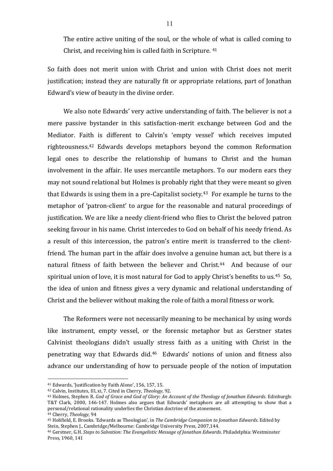The entire active uniting of the soul, or the whole of what is called coming to Christ, and receiving him is called faith in Scripture. <sup>41</sup>

So faith does not merit union with Christ and union with Christ does not merit justification; instead they are naturally fit or appropriate relations, part of Jonathan Edward's view of beauty in the divine order.

We also note Edwards' very active understanding of faith. The believer is not a mere passive bystander in this satisfaction-merit exchange between God and the Mediator. Faith is different to Calvin's 'empty vessel' which receives imputed righteousness.<sup>42</sup> Edwards develops metaphors beyond the common Reformation legal ones to describe the relationship of humans to Christ and the human involvement in the affair. He uses mercantile metaphors. To our modern ears they may not sound relational but Holmes is probably right that they were meant so given that Edwards is using them in a pre-Capitalist society.<sup>43</sup> For example he turns to the metaphor of 'patron-client' to argue for the reasonable and natural proceedings of justification. We are like a needy client-friend who flies to Christ the beloved patron seeking favour in his name. Christ intercedes to God on behalf of his needy friend. As a result of this intercession, the patron's entire merit is transferred to the clientfriend. The human part in the affair does involve a genuine human act, but there is a natural fitness of faith between the believer and Christ.<sup>44</sup> And because of our spiritual union of love, it is most natural for God to apply Christ's benefits to us.<sup>45</sup> So, the idea of union and fitness gives a very dynamic and relational understanding of Christ and the believer without making the role of faith a moral fitness or work.

The Reformers were not necessarily meaning to be mechanical by using words like instrument, empty vessel, or the forensic metaphor but as Gerstner states Calvinist theologians didn't usually stress faith as a uniting with Christ in the penetrating way that Edwards did.<sup>46</sup> Edwards' notions of union and fitness also advance our understanding of how to persuade people of the notion of imputation

<sup>44</sup> Cherry, *Theology*, 94

<sup>41</sup> Edwards, 'Justification by Faith Alone', 156, 157, 15.

<sup>42</sup> Calvin, Institutes, III, xi, 7. Cited in Cherry, *Theology*, 92.

<sup>43</sup> Holmes, Stephen R. *God of Grace and God of Glory: An Account of the Theology of Jonathan Edwards.* Edinburgh: T&T Clark, 2000, 146-147. Holmes also argues that Edwards' metaphors are all attempting to show that a personal/relational rationality underlies the Christian doctrine of the atonement.

<sup>45</sup> Holifield, E. Brooks. 'Edwards as Theologian', in *The Cambridge Companion to Jonathan Edwards*. Edited by Stein, Stephen J., Cambridge/Melbourne: Cambridge University Press, 2007,144.

<sup>46</sup> Gerstner, G.H. *Steps to Salvation: The Evangelistic Message of Jonathan Edwards*. Philadelphia: Westminster Press, 1960, 141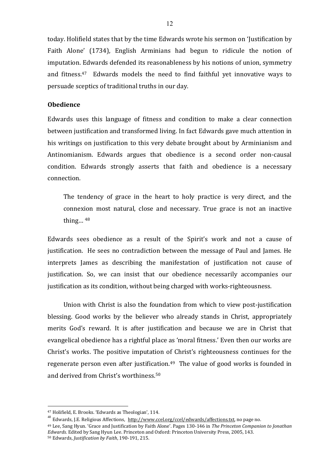today. Holifield states that by the time Edwards wrote his sermon on 'Justification by Faith Alone' (1734), English Arminians had begun to ridicule the notion of imputation. Edwards defended its reasonableness by his notions of union, symmetry and fitness.47 Edwards models the need to find faithful yet innovative ways to persuade sceptics of traditional truths in our day.

### **Obedience**

Edwards uses this language of fitness and condition to make a clear connection between justification and transformed living. In fact Edwards gave much attention in his writings on justification to this very debate brought about by Arminianism and Antinomianism. Edwards argues that obedience is a second order non-causal condition. Edwards strongly asserts that faith and obedience is a necessary connection.

The tendency of grace in the heart to holy practice is very direct, and the connexion most natural, close and necessary. True grace is not an inactive thing… <sup>48</sup>

Edwards sees obedience as a result of the Spirit's work and not a cause of justification. He sees no contradiction between the message of Paul and James. He interprets James as describing the manifestation of justification not cause of justification. So, we can insist that our obedience necessarily accompanies our justification as its condition, without being charged with works-righteousness.

Union with Christ is also the foundation from which to view post-justification blessing. Good works by the believer who already stands in Christ, appropriately merits God's reward. It is after justification and because we are in Christ that evangelical obedience has a rightful place as 'moral fitness.' Even then our works are Christ's works. The positive imputation of Christ's righteousness continues for the regenerate person even after justification. $49$  The value of good works is founded in and derived from Christ's worthiness.<sup>50</sup>

<sup>47</sup> Holifield, E. Brooks. 'Edwards as Theologian', 114.

<sup>&</sup>lt;sup>48</sup> Edwards, J.E. Religious Affections, [http://www.ccel.org/ccel/edwards/affections.txt,](http://www.ccel.org/ccel/edwards/affections.txt) no page no.

<sup>49</sup> Lee, Sang Hyun. 'Grace and Justification by Faith Alone'. Pages 130-146 in *The Princeton Companion to Jonathan Edwards.* Edited by Sang Hyun Lee. Princeton and Oxford: Princeton University Press, 2005, 143. <sup>50</sup> Edwards, *Justification by Faith*, 190-191, 215.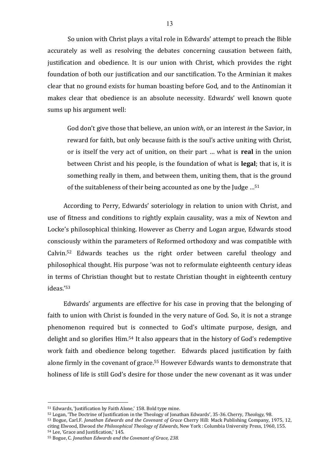So union with Christ plays a vital role in Edwards' attempt to preach the Bible accurately as well as resolving the debates concerning causation between faith, justification and obedience. It is our union with Christ, which provides the right foundation of both our justification and our sanctification. To the Arminian it makes clear that no ground exists for human boasting before God, and to the Antinomian it makes clear that obedience is an absolute necessity. Edwards' well known quote sums up his argument well:

God don't give those that believe, an union *with*, or an interest *in* the Savior, in reward for faith, but only because faith is the soul's active uniting with Christ, or is itself the very act of unition, on their part … what is **real** in the union between Christ and his people, is the foundation of what is **legal**; that is, it is something really in them, and between them, uniting them, that is the ground of the suitableness of their being accounted as one by the Judge …<sup>51</sup>

According to Perry, Edwards' soteriology in relation to union with Christ, and use of fitness and conditions to rightly explain causality, was a mix of Newton and Locke's philosophical thinking. However as Cherry and Logan argue, Edwards stood consciously within the parameters of Reformed orthodoxy and was compatible with Calvin. <sup>52</sup> Edwards teaches us the right order between careful theology and philosophical thought. His purpose 'was not to reformulate eighteenth century ideas in terms of Christian thought but to restate Christian thought in eighteenth century ideas.'<sup>53</sup>

Edwards' arguments are effective for his case in proving that the belonging of faith to union with Christ is founded in the very nature of God. So, it is not a strange phenomenon required but is connected to God's ultimate purpose, design, and delight and so glorifies Him.<sup>54</sup> It also appears that in the history of God's redemptive work faith and obedience belong together. Edwards placed justification by faith alone firmly in the covenant of grace.<sup>55</sup> However Edwards wants to demonstrate that holiness of life is still God's desire for those under the new covenant as it was under

1

<sup>53</sup> Bogue, Carl.F. *Jonathan Edwards and the Covenant of Grace* Cherry Hill: Mack Publishing Company, 1975, 12, citing Elwood, Elwood *the Philosophical Theology of Edwards*, New York : Columbia University Press, 1960, 155. <sup>54</sup> Lee, 'Grace and Justification,' 145.

<sup>51</sup> Edwards, 'Justification by Faith Alone,' 158. Bold type mine.

<sup>52</sup> Logan, 'The Doctrine of Justification in the Theology of Jonathan Edwards', 35-36. Cherry, *Theology,* 98.

<sup>55</sup> Bogue, C. *Jonathan Edwards and the Covenant of Grace, 238.*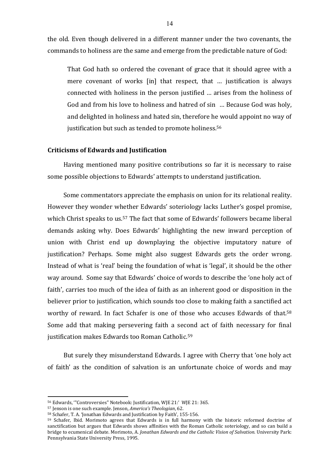the old. Even though delivered in a different manner under the two covenants, the commands to holiness are the same and emerge from the predictable nature of God:

That God hath so ordered the covenant of grace that it should agree with a mere covenant of works [in] that respect, that … justification is always connected with holiness in the person justified … arises from the holiness of God and from his love to holiness and hatred of sin … Because God was holy, and delighted in holiness and hated sin, therefore he would appoint no way of justification but such as tended to promote holiness.<sup>56</sup>

### **Criticisms of Edwards and Justification**

Having mentioned many positive contributions so far it is necessary to raise some possible objections to Edwards' attempts to understand justification.

Some commentators appreciate the emphasis on union for its relational reality. However they wonder whether Edwards' soteriology lacks Luther's gospel promise, which Christ speaks to us.<sup>57</sup> The fact that some of Edwards' followers became liberal demands asking why. Does Edwards' highlighting the new inward perception of union with Christ end up downplaying the objective imputatory nature of justification? Perhaps. Some might also suggest Edwards gets the order wrong. Instead of what is 'real' being the foundation of what is 'legal', it should be the other way around. Some say that Edwards' choice of words to describe the 'one holy act of faith', carries too much of the idea of faith as an inherent good or disposition in the believer prior to justification, which sounds too close to making faith a sanctified act worthy of reward. In fact Schafer is one of those who accuses Edwards of that.<sup>58</sup> Some add that making persevering faith a second act of faith necessary for final justification makes Edwards too Roman Catholic.<sup>59</sup>

But surely they misunderstand Edwards. I agree with Cherry that 'one holy act of faith' as the condition of salvation is an unfortunate choice of words and may

<sup>56</sup> Edwards, '"Controversies" Notebook: Justification, WJE 21:' WJE 21: 365.

<sup>57</sup> Jenson is one such example. Jenson, *America's Theologian*, 62.

<sup>58</sup> Schafer, T. A. 'Jonathan Edwards and Justification by Faith', 155-156.

<sup>59</sup> Schafer, Ibid. Morimoto agrees that Edwards is in full harmony with the historic reformed doctrine of sanctification but argues that Edwards shows affinities with the Roman Catholic soteriology, and so can build a bridge to ecumenical debate. Morimoto, A. *Jonathan Edwards and the Catholic Vision of Salvation.* University Park: Pennsylvania State University Press, 1995.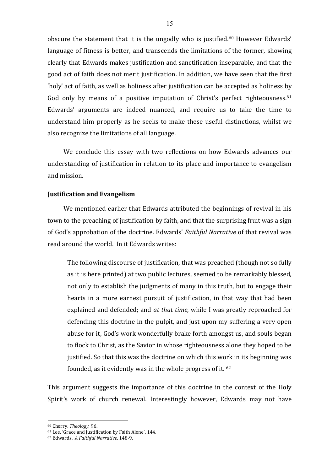obscure the statement that it is the ungodly who is justified. <sup>60</sup> However Edwards' language of fitness is better, and transcends the limitations of the former, showing clearly that Edwards makes justification and sanctification inseparable, and that the good act of faith does not merit justification. In addition, we have seen that the first 'holy' act of faith, as well as holiness after justification can be accepted as holiness by God only by means of a positive imputation of Christ's perfect righteousness.<sup>61</sup> Edwards' arguments are indeed nuanced, and require us to take the time to understand him properly as he seeks to make these useful distinctions, whilst we also recognize the limitations of all language.

We conclude this essay with two reflections on how Edwards advances our understanding of justification in relation to its place and importance to evangelism and mission.

#### **Justification and Evangelism**

We mentioned earlier that Edwards attributed the beginnings of revival in his town to the preaching of justification by faith, and that the surprising fruit was a sign of God's approbation of the doctrine. Edwards' *Faithful Narrative* of that revival was read around the world. In it Edwards writes:

The following discourse of justification, that was preached (though not so fully as it is here printed) at two public lectures, seemed to be remarkably blessed, not only to establish the judgments of many in this truth, but to engage their hearts in a more earnest pursuit of justification, in that way that had been explained and defended; and *at that time,* while I was greatly reproached for defending this doctrine in the pulpit, and just upon my suffering a very open abuse for it, God's work wonderfully brake forth amongst us, and souls began to flock to Christ, as the Savior in whose righteousness alone they hoped to be justified. So that this was the doctrine on which this work in its beginning was founded, as it evidently was in the whole progress of it. <sup>62</sup>

This argument suggests the importance of this doctrine in the context of the Holy Spirit's work of church renewal. Interestingly however, Edwards may not have

<sup>60</sup> Cherry, *Theology,* 96.

<sup>61</sup> Lee, 'Grace and Justification by Faith Alone'. 144.

<sup>62</sup> Edwards, *A Faithful Narrative*, 148-9.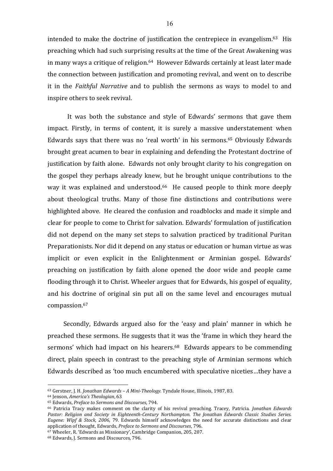intended to make the doctrine of justification the centrepiece in evangelism.<sup>63</sup> His preaching which had such surprising results at the time of the Great Awakening was in many ways a critique of religion.64 However Edwards certainly at least later made the connection between justification and promoting revival, and went on to describe it in the *Faithful Narrative* and to publish the sermons as ways to model to and inspire others to seek revival.

It was both the substance and style of Edwards' sermons that gave them impact. Firstly, in terms of content, it is surely a massive understatement when Edwards says that there was no 'real worth' in his sermons.<sup>65</sup> Obviously Edwards brought great acumen to bear in explaining and defending the Protestant doctrine of justification by faith alone. Edwards not only brought clarity to his congregation on the gospel they perhaps already knew, but he brought unique contributions to the way it was explained and understood.<sup>66</sup> He caused people to think more deeply about theological truths. Many of those fine distinctions and contributions were highlighted above. He cleared the confusion and roadblocks and made it simple and clear for people to come to Christ for salvation. Edwards' formulation of justification did not depend on the many set steps to salvation practiced by traditional Puritan Preparationists. Nor did it depend on any status or education or human virtue as was implicit or even explicit in the Enlightenment or Arminian gospel. Edwards' preaching on justification by faith alone opened the door wide and people came flooding through it to Christ. Wheeler argues that for Edwards, his gospel of equality, and his doctrine of original sin put all on the same level and encourages mutual compassion.<sup>67</sup>

Secondly, Edwards argued also for the 'easy and plain' manner in which he preached these sermons. He suggests that it was the 'frame in which they heard the sermons' which had impact on his hearers.<sup>68</sup> Edwards appears to be commending direct, plain speech in contrast to the preaching style of Arminian sermons which Edwards described as 'too much encumbered with speculative niceties…they have a

<sup>63</sup> Gerstner, J. H. *Jonathan Edwards – A Mini-Theology.* Tyndale House, Illinois, 1987, 83.

<sup>64</sup> Jenson, *America's Theologian*, 63

<sup>65</sup> Edwards, *Preface to Sermons and Discourses*, 794.

<sup>66</sup> Patricia Tracy makes comment on the clarity of his revival preaching. Tracey, Patricia. *Jonathan Edwards Pastor: Religion and Society in Eighteenth-Century Northampton. The Jonathan Edwards Classic Studies Series. Eugene: Wipf & Stock, 2006,* 79. Edwards himself acknowledges the need for accurate distinctions and clear application of thought, Edwards, *Preface to Sermons and Discourses*, 796.

 $67$  Wheeler, R. 'Edwards as Missionary', Cambridge Companion, 205, 207.

<sup>68</sup> Edwards, J. Sermons and Discources, 796.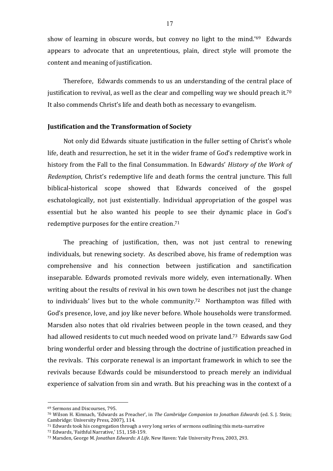show of learning in obscure words, but convey no light to the mind.'<sup>69</sup> Edwards appears to advocate that an unpretentious, plain, direct style will promote the content and meaning of justification.

Therefore, Edwards commends to us an understanding of the central place of justification to revival, as well as the clear and compelling way we should preach it.<sup>70</sup> It also commends Christ's life and death both as necessary to evangelism.

# **Justification and the Transformation of Society**

Not only did Edwards situate justification in the fuller setting of Christ's whole life, death and resurrection, he set it in the wider frame of God's redemptive work in history from the Fall to the final Consummation. In Edwards' *History of the Work of Redemption*, Christ's redemptive life and death forms the central juncture. This full biblical-historical scope showed that Edwards conceived of the gospel eschatologically, not just existentially. Individual appropriation of the gospel was essential but he also wanted his people to see their dynamic place in God's redemptive purposes for the entire creation. 71

The preaching of justification, then, was not just central to renewing individuals, but renewing society. As described above, his frame of redemption was comprehensive and his connection between justification and sanctification inseparable. Edwards promoted revivals more widely, even internationally. When writing about the results of revival in his own town he describes not just the change to individuals' lives but to the whole community.<sup>72</sup> Northampton was filled with God's presence, love, and joy like never before. Whole households were transformed. Marsden also notes that old rivalries between people in the town ceased, and they had allowed residents to cut much needed wood on private land.<sup>73</sup> Edwards saw God bring wonderful order and blessing through the doctrine of justification preached in the revivals. This corporate renewal is an important framework in which to see the revivals because Edwards could be misunderstood to preach merely an individual experience of salvation from sin and wrath. But his preaching was in the context of a

<sup>69</sup> Sermons and Discourses, 795.

<sup>70</sup> Wilson H. Kimnach, 'Edwards as Preacher', in *The Cambridge Companion to Jonathan Edwards* (ed. S. J. Stein; Cambridge: University Press, 2007), 114.

<sup>71</sup> Edwards took his congregation through a very long series of sermons outlining this meta-narrative

<sup>72</sup> Edwards, 'Faithful Narrative,' 151, 158-159.

<sup>73</sup> Marsden, George M. *Jonathan Edwards: A Life*. New Haven: Yale University Press, 2003, 293.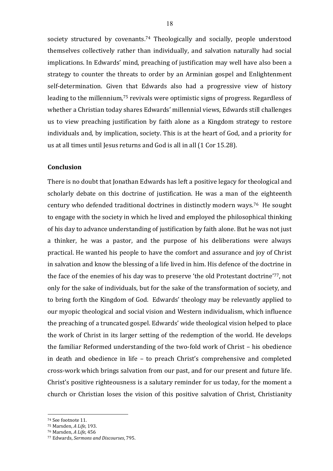society structured by covenants.<sup>74</sup> Theologically and socially, people understood themselves collectively rather than individually, and salvation naturally had social implications. In Edwards' mind, preaching of justification may well have also been a strategy to counter the threats to order by an Arminian gospel and Enlightenment self-determination. Given that Edwards also had a progressive view of history leading to the millennium,<sup>75</sup> revivals were optimistic signs of progress. Regardless of whether a Christian today shares Edwards' millennial views, Edwards still challenges us to view preaching justification by faith alone as a Kingdom strategy to restore individuals and, by implication, society. This is at the heart of God, and a priority for us at all times until Jesus returns and God is all in all (1 Cor 15.28).

# **Conclusion**

There is no doubt that Jonathan Edwards has left a positive legacy for theological and scholarly debate on this doctrine of justification. He was a man of the eighteenth century who defended traditional doctrines in distinctly modern ways.76 He sought to engage with the society in which he lived and employed the philosophical thinking of his day to advance understanding of justification by faith alone. But he was not just a thinker, he was a pastor, and the purpose of his deliberations were always practical. He wanted his people to have the comfort and assurance and joy of Christ in salvation and know the blessing of a life lived in him. His defence of the doctrine in the face of the enemies of his day was to preserve 'the old Protestant doctrine'77, not only for the sake of individuals, but for the sake of the transformation of society, and to bring forth the Kingdom of God. Edwards' theology may be relevantly applied to our myopic theological and social vision and Western individualism, which influence the preaching of a truncated gospel. Edwards' wide theological vision helped to place the work of Christ in its larger setting of the redemption of the world. He develops the familiar Reformed understanding of the two-fold work of Christ – his obedience in death and obedience in life – to preach Christ's comprehensive and completed cross-work which brings salvation from our past, and for our present and future life. Christ's positive righteousness is a salutary reminder for us today, for the moment a church or Christian loses the vision of this positive salvation of Christ, Christianity

<sup>74</sup> See footnote 11.

<sup>75</sup> Marsden, *A Life,* 193.

<sup>76</sup> Marsden, *A Life*, 456

<sup>77</sup> Edwards, *Sermons and Discourses*, 795.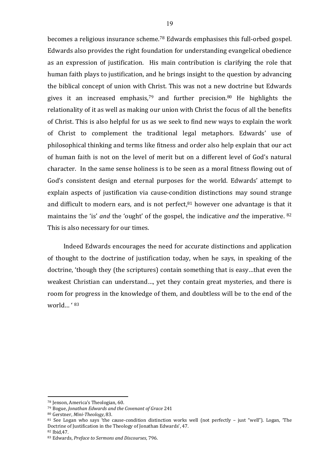becomes a religious insurance scheme.<sup>78</sup> Edwards emphasises this full-orbed gospel. Edwards also provides the right foundation for understanding evangelical obedience as an expression of justification. His main contribution is clarifying the role that human faith plays to justification, and he brings insight to the question by advancing the biblical concept of union with Christ. This was not a new doctrine but Edwards gives it an increased emphasis,<sup>79</sup> and further precision.<sup>80</sup> He highlights the relationality of it as well as making our union with Christ the focus of all the benefits of Christ. This is also helpful for us as we seek to find new ways to explain the work of Christ to complement the traditional legal metaphors. Edwards' use of philosophical thinking and terms like fitness and order also help explain that our act of human faith is not on the level of merit but on a different level of God's natural character. In the same sense holiness is to be seen as a moral fitness flowing out of God's consistent design and eternal purposes for the world. Edwards' attempt to explain aspects of justification via cause-condition distinctions may sound strange and difficult to modern ears, and is not perfect, <sup>81</sup> however one advantage is that it maintains the 'is' *and* the 'ought' of the gospel, the indicative *and* the imperative. <sup>82</sup> This is also necessary for our times.

Indeed Edwards encourages the need for accurate distinctions and application of thought to the doctrine of justification today, when he says, in speaking of the doctrine, 'though they (the scriptures) contain something that is easy…that even the weakest Christian can understand…, yet they contain great mysteries, and there is room for progress in the knowledge of them, and doubtless will be to the end of the world… ' <sup>83</sup>

<sup>78</sup> Jenson, America's Theologian, 60.

<sup>79</sup> Bogue, *Jonathan Edwards and the Covenant of Grace* 241

<sup>80</sup> Gerstner, *Mini-Theology*, 83.

<sup>81</sup> See Logan who says 'the cause-condition distinction works well (not perfectly – just "well"). Logan, 'The Doctrine of Justification in the Theology of Jonathan Edwards', 47. <sup>82</sup> Ibid,47.

<sup>83</sup> Edwards, *Preface to Sermons and Discourses*, 796.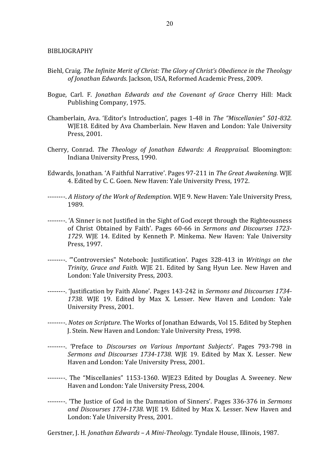- Biehl, Craig. *The Infinite Merit of Christ: The Glory of Christ's Obedience in the Theology of Jonathan Edwards*. Jackson, USA, Reformed Academic Press, 2009.
- Bogue, Carl. F. *Jonathan Edwards and the Covenant of Grace* Cherry Hill: Mack Publishing Company, 1975.
- Chamberlain, Ava. 'Editor's Introduction', pages 1-48 in *The "Miscellanies" 501-832.* WJE18. Edited by Ava Chamberlain. New Haven and London: Yale University Press, 2001.
- Cherry, Conrad. *The Theology of Jonathan Edwards: A Reappraisal.* Bloomington: Indiana University Press, 1990.
- Edwards, Jonathan. 'A Faithful Narrative'. Pages 97-211 in *The Great Awakening.* WJE 4. Edited by C. C. Goen. New Haven: Yale University Press, 1972.
- --------. *A History of the Work of Redemption.* WJE 9. New Haven: Yale University Press, 1989.
- --------. 'A Sinner is not Justified in the Sight of God except through the Righteousness of Christ Obtained by Faith'. Pages 60-66 in *Sermons and Discourses 1723- 1729.* WJE 14. Edited by Kenneth P. Minkema. New Haven: Yale University Press, 1997.
- --------. '"Controversies" Notebook: Justification'. Pages 328-413 in *Writings on the Trinity, Grace and Faith.* WJE 21. Edited by Sang Hyun Lee. New Haven and London: Yale University Press, 2003.
- --------. 'Justification by Faith Alone'. Pages 143-242 in *Sermons and Discourses 1734- 1738.* WJE 19. Edited by Max X. Lesser. New Haven and London: Yale University Press, 2001.
- --------. *Notes on Scripture*. The Works of Jonathan Edwards, Vol 15. Edited by Stephen J. Stein. New Haven and London: Yale University Press, 1998.
- --------. 'Preface to *Discourses on Various Important Subjects*'. Pages 793-798 in *Sermons and Discourses 1734-1738.* WJE 19. Edited by Max X. Lesser. New Haven and London: Yale University Press, 2001.
- --------. The "Miscellanies" 1153-1360. WJE23 Edited by Douglas A. Sweeney. New Haven and London: Yale University Press, 2004.
- --------. 'The Justice of God in the Damnation of Sinners'. Pages 336-376 in *Sermons and Discourses 1734-1738.* WJE 19. Edited by Max X. Lesser. New Haven and London: Yale University Press, 2001.
- Gerstner, J. H. *Jonathan Edwards – A Mini-Theology.* Tyndale House, Illinois, 1987.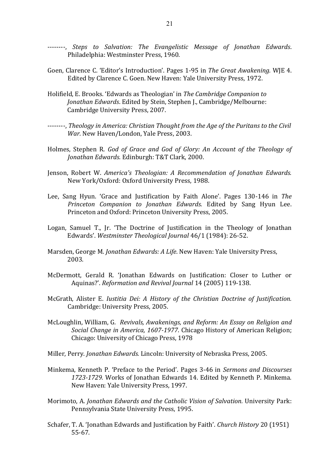- --------, *Steps to Salvation: The Evangelistic Message of Jonathan Edwards*. Philadelphia: Westminster Press, 1960.
- Goen, Clarence C. 'Editor's Introduction'. Pages 1-95 in *The Great Awakening.* WJE 4. Edited by Clarence C. Goen. New Haven: Yale University Press, 1972.
- Holifield, E. Brooks. 'Edwards as Theologian' in *The Cambridge Companion to Jonathan Edwards*. Edited by Stein, Stephen J., Cambridge/Melbourne: Cambridge University Press, 2007.
- --------, *Theology in America: Christian Thought from the Age of the Puritans to the Civil War.* New Haven/London, Yale Press, 2003.
- Holmes, Stephen R. *God of Grace and God of Glory: An Account of the Theology of Jonathan Edwards.* Edinburgh: T&T Clark, 2000.
- Jenson, Robert W. *America's Theologian: A Recommendation of Jonathan Edwards.* New York/Oxford: Oxford University Press, 1988.
- Lee, Sang Hyun. 'Grace and Justification by Faith Alone'. Pages 130-146 in *The Princeton Companion to Jonathan Edwards.* Edited by Sang Hyun Lee. Princeton and Oxford: Princeton University Press, 2005.
- Logan, Samuel T., Jr. 'The Doctrine of Justification in the Theology of Jonathan Edwards'. *Westminster Theological Journal* 46/1 (1984): 26-52.
- Marsden, George M. *Jonathan Edwards: A Life*. New Haven: Yale University Press, 2003.
- McDermott, Gerald R. 'Jonathan Edwards on Justification: Closer to Luther or Aquinas?'. *Reformation and Revival Journal* 14 (2005) 119-138.
- McGrath, Alister E. *Iustitia Dei: A History of the Christian Doctrine of Justification.* Cambridge: University Press, 2005.
- McLoughlin, William, G. *Revivals, Awakenings, and Reform: An Essay on Religion and Social Change in America, 1607-1977*. Chicago History of American Religion; Chicago: University of Chicago Press, 1978
- Miller, Perry. *Jonathan Edwards.* Lincoln: University of Nebraska Press, 2005.
- Minkema, Kenneth P. 'Preface to the Period'. Pages 3-46 in *Sermons and Discourses 1723-1729.* Works of Jonathan Edwards 14. Edited by Kenneth P. Minkema. New Haven: Yale University Press, 1997.
- Morimoto, A. *Jonathan Edwards and the Catholic Vision of Salvation.* University Park: Pennsylvania State University Press, 1995.
- Schafer, T. A. 'Jonathan Edwards and Justification by Faith'. *Church History* 20 (1951) 55-67.